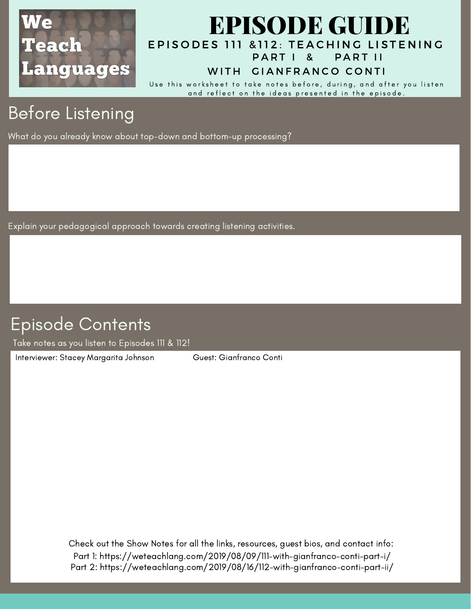

### EPISODES 111 & 112: TEACHING LISTENING EPISODE GUIDE PART I & PART II

#### WITH GIANFRANCO CONTI

Use this worksheet to take notes before, during, and after you listen and reflect on the ideas presented in the episode.

# Before Listening

What do you already know about top-down and bottom-up processing?

Explain your pedagogical approach towards creating listening activities.

### Episode Contents

Take notes as you listen to Episodes 111 & 112!

Interviewer: Stacey Margarita Johnson Guest: Gianfranco Conti

Check out the Show Notes for all the links, resources, guest bios, and contact info: Part 1: https://weteachlang.com/2019/08/09/111-with-gianfranco-conti-part-i/ Part 2: https://weteachlang.com/2019/08/16/112-with-gianfranco-conti-part-ii/